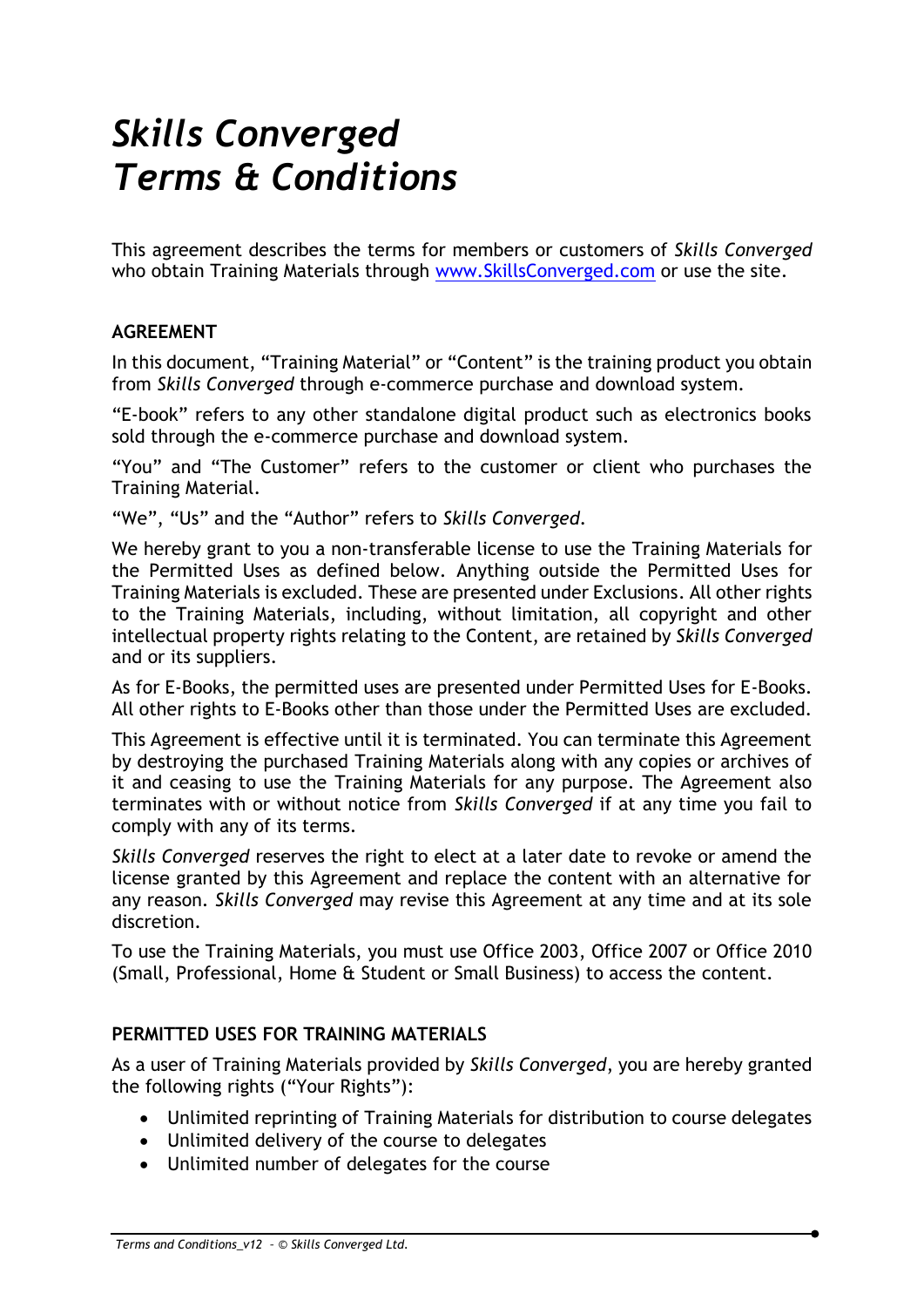# *Skills Converged Terms & Conditions*

This agreement describes the terms for members or customers of *Skills Converged* who obtain Training Materials through [www.SkillsConverged.com](http://www.skillsconverged.com/) or use the site.

# **AGREEMENT**

In this document, "Training Material" or "Content" is the training product you obtain from *Skills Converged* through e-commerce purchase and download system.

"E-book" refers to any other standalone digital product such as electronics books sold through the e-commerce purchase and download system.

"You" and "The Customer" refers to the customer or client who purchases the Training Material.

"We", "Us" and the "Author" refers to *Skills Converged*.

We hereby grant to you a non-transferable license to use the Training Materials for the Permitted Uses as defined below. Anything outside the Permitted Uses for Training Materials is excluded. These are presented under Exclusions. All other rights to the Training Materials, including, without limitation, all copyright and other intellectual property rights relating to the Content, are retained by *Skills Converged* and or its suppliers.

As for E-Books, the permitted uses are presented under Permitted Uses for E-Books. All other rights to E-Books other than those under the Permitted Uses are excluded.

This Agreement is effective until it is terminated. You can terminate this Agreement by destroying the purchased Training Materials along with any copies or archives of it and ceasing to use the Training Materials for any purpose. The Agreement also terminates with or without notice from *Skills Converged* if at any time you fail to comply with any of its terms.

*Skills Converged* reserves the right to elect at a later date to revoke or amend the license granted by this Agreement and replace the content with an alternative for any reason. *Skills Converged* may revise this Agreement at any time and at its sole discretion.

To use the Training Materials, you must use Office 2003, Office 2007 or Office 2010 (Small, Professional, Home & Student or Small Business) to access the content.

# **PERMITTED USES FOR TRAINING MATERIALS**

As a user of Training Materials provided by *Skills Converged*, you are hereby granted the following rights ("Your Rights"):

- Unlimited reprinting of Training Materials for distribution to course delegates
- Unlimited delivery of the course to delegates
- Unlimited number of delegates for the course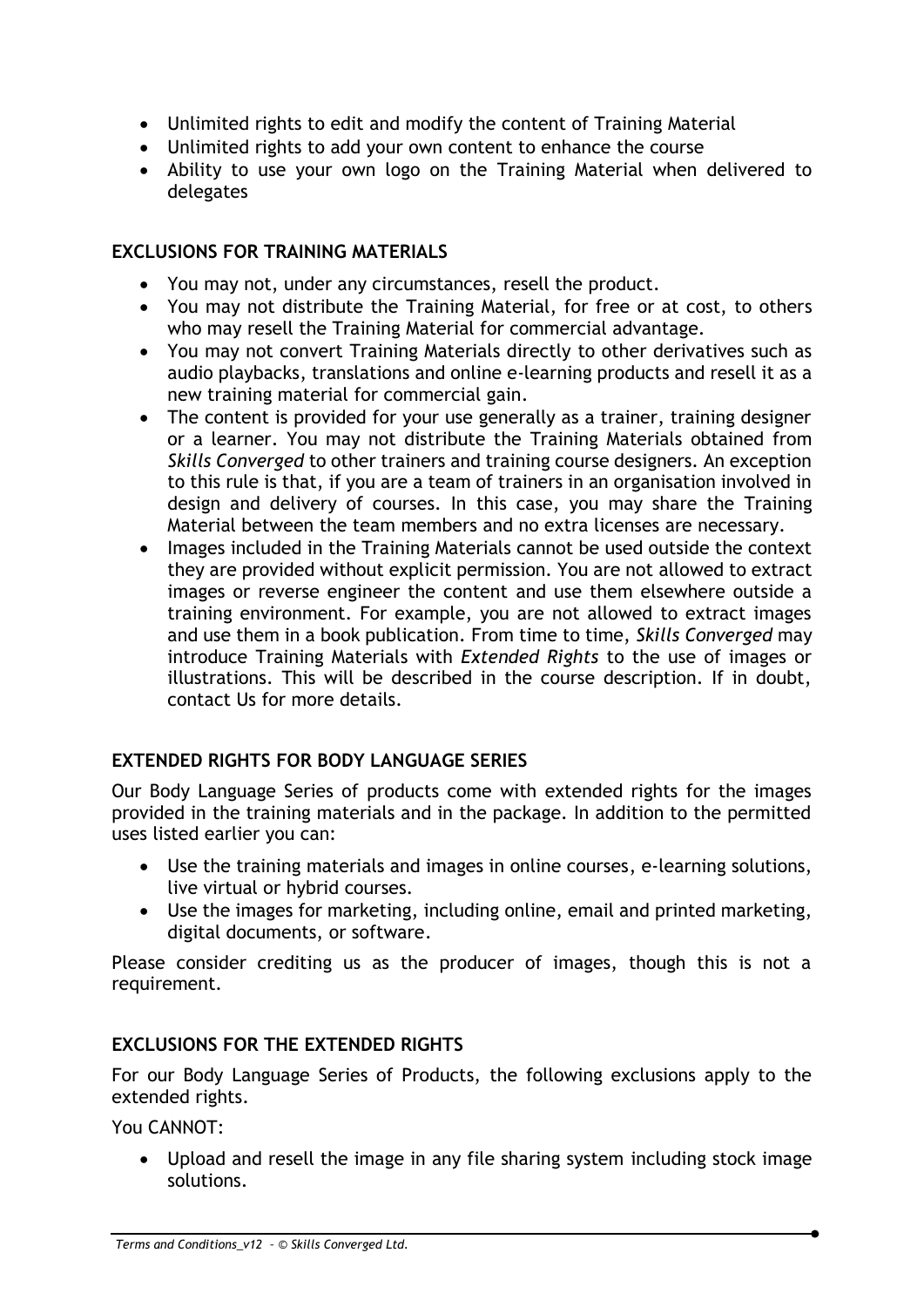- Unlimited rights to edit and modify the content of Training Material
- Unlimited rights to add your own content to enhance the course
- Ability to use your own logo on the Training Material when delivered to delegates

# **EXCLUSIONS FOR TRAINING MATERIALS**

- You may not, under any circumstances, resell the product.
- You may not distribute the Training Material, for free or at cost, to others who may resell the Training Material for commercial advantage.
- You may not convert Training Materials directly to other derivatives such as audio playbacks, translations and online e-learning products and resell it as a new training material for commercial gain.
- The content is provided for your use generally as a trainer, training designer or a learner. You may not distribute the Training Materials obtained from *Skills Converged* to other trainers and training course designers. An exception to this rule is that, if you are a team of trainers in an organisation involved in design and delivery of courses. In this case, you may share the Training Material between the team members and no extra licenses are necessary.
- Images included in the Training Materials cannot be used outside the context they are provided without explicit permission. You are not allowed to extract images or reverse engineer the content and use them elsewhere outside a training environment. For example, you are not allowed to extract images and use them in a book publication. From time to time, *Skills Converged* may introduce Training Materials with *Extended Rights* to the use of images or illustrations. This will be described in the course description. If in doubt, contact Us for more details.

# **EXTENDED RIGHTS FOR BODY LANGUAGE SERIES**

Our Body Language Series of products come with extended rights for the images provided in the training materials and in the package. In addition to the permitted uses listed earlier you can:

- Use the training materials and images in online courses, e-learning solutions, live virtual or hybrid courses.
- Use the images for marketing, including online, email and printed marketing, digital documents, or software.

Please consider crediting us as the producer of images, though this is not a requirement.

# **EXCLUSIONS FOR THE EXTENDED RIGHTS**

For our Body Language Series of Products, the following exclusions apply to the extended rights.

You CANNOT:

• Upload and resell the image in any file sharing system including stock image solutions.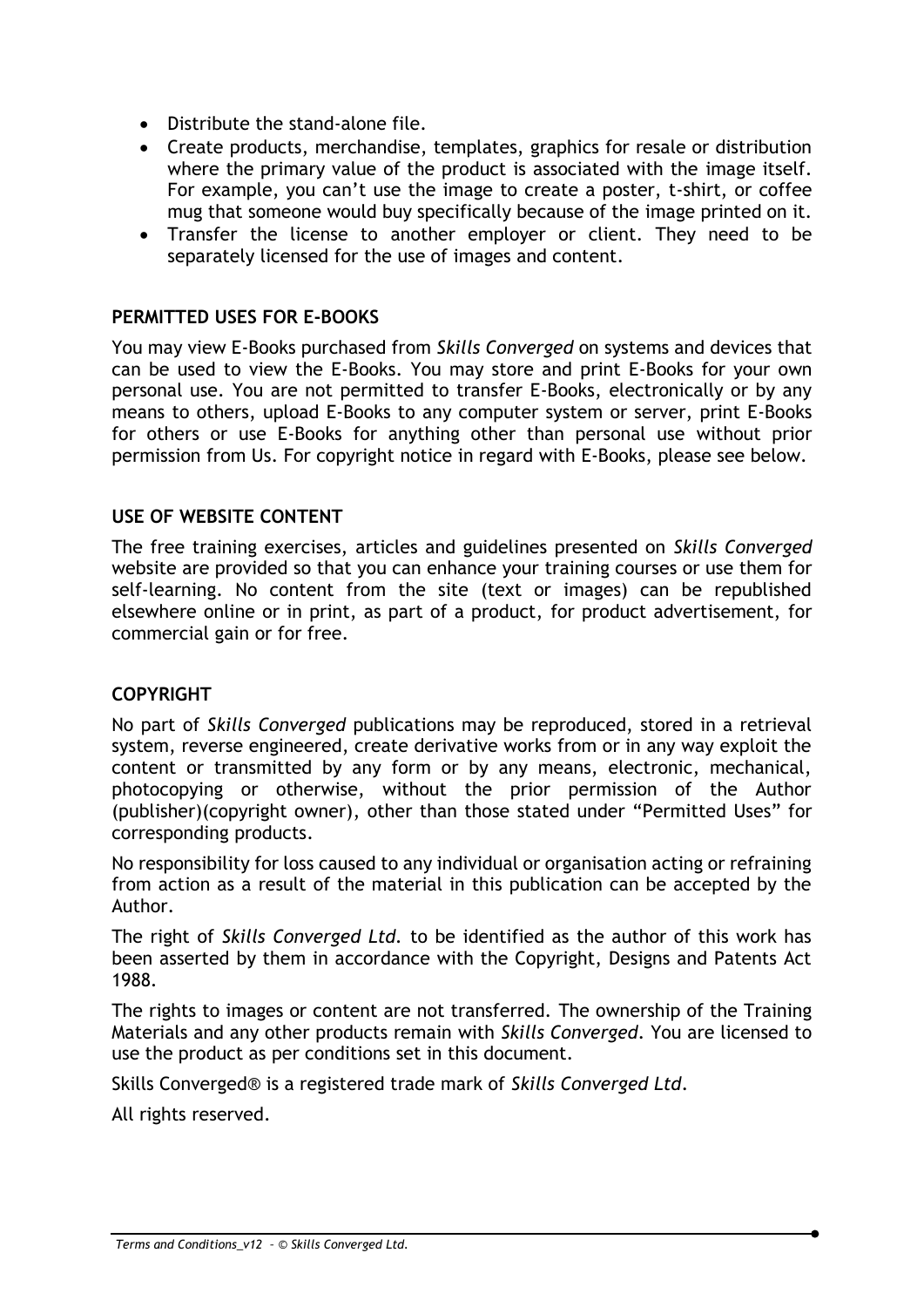- Distribute the stand-alone file.
- Create products, merchandise, templates, graphics for resale or distribution where the primary value of the product is associated with the image itself. For example, you can't use the image to create a poster, t-shirt, or coffee mug that someone would buy specifically because of the image printed on it.
- Transfer the license to another employer or client. They need to be separately licensed for the use of images and content.

## **PERMITTED USES FOR E-BOOKS**

You may view E-Books purchased from *Skills Converged* on systems and devices that can be used to view the E-Books. You may store and print E-Books for your own personal use. You are not permitted to transfer E-Books, electronically or by any means to others, upload E-Books to any computer system or server, print E-Books for others or use E-Books for anything other than personal use without prior permission from Us. For copyright notice in regard with E-Books, please see below.

#### **USE OF WEBSITE CONTENT**

The free training exercises, articles and guidelines presented on *Skills Converged* website are provided so that you can enhance your training courses or use them for self-learning. No content from the site (text or images) can be republished elsewhere online or in print, as part of a product, for product advertisement, for commercial gain or for free.

## **COPYRIGHT**

No part of *Skills Converged* publications may be reproduced, stored in a retrieval system, reverse engineered, create derivative works from or in any way exploit the content or transmitted by any form or by any means, electronic, mechanical, photocopying or otherwise, without the prior permission of the Author (publisher)(copyright owner), other than those stated under "Permitted Uses" for corresponding products.

No responsibility for loss caused to any individual or organisation acting or refraining from action as a result of the material in this publication can be accepted by the Author.

The right of *Skills Converged Ltd.* to be identified as the author of this work has been asserted by them in accordance with the Copyright, Designs and Patents Act 1988.

The rights to images or content are not transferred. The ownership of the Training Materials and any other products remain with *Skills Converged*. You are licensed to use the product as per conditions set in this document.

Skills Converged® is a registered trade mark of *Skills Converged Ltd*.

All rights reserved.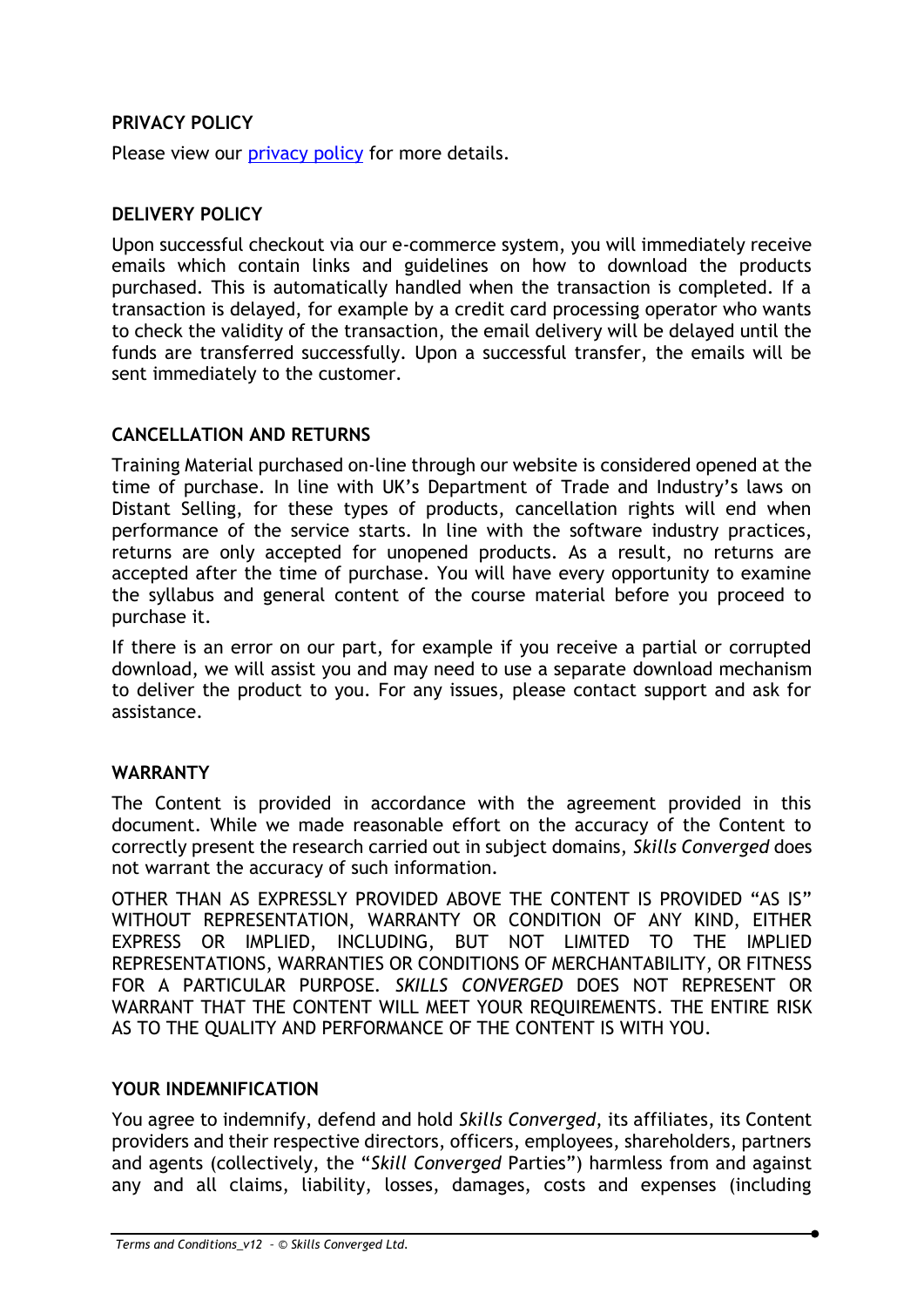# **PRIVACY POLICY**

Please view our [privacy policy](http://www.skillsconverged.com/Home/tabid/229/ctl/Privacy/Default.aspx) for more details.

# **DELIVERY POLICY**

Upon successful checkout via our e-commerce system, you will immediately receive emails which contain links and guidelines on how to download the products purchased. This is automatically handled when the transaction is completed. If a transaction is delayed, for example by a credit card processing operator who wants to check the validity of the transaction, the email delivery will be delayed until the funds are transferred successfully. Upon a successful transfer, the emails will be sent immediately to the customer.

## **CANCELLATION AND RETURNS**

Training Material purchased on-line through our website is considered opened at the time of purchase. In line with UK's Department of Trade and Industry's laws on Distant Selling, for these types of products, cancellation rights will end when performance of the service starts. In line with the software industry practices, returns are only accepted for unopened products. As a result, no returns are accepted after the time of purchase. You will have every opportunity to examine the syllabus and general content of the course material before you proceed to purchase it.

If there is an error on our part, for example if you receive a partial or corrupted download, we will assist you and may need to use a separate download mechanism to deliver the product to you. For any issues, please contact support and ask for assistance.

## **WARRANTY**

The Content is provided in accordance with the agreement provided in this document. While we made reasonable effort on the accuracy of the Content to correctly present the research carried out in subject domains, *Skills Converged* does not warrant the accuracy of such information.

OTHER THAN AS EXPRESSLY PROVIDED ABOVE THE CONTENT IS PROVIDED "AS IS" WITHOUT REPRESENTATION, WARRANTY OR CONDITION OF ANY KIND, EITHER EXPRESS OR IMPLIED, INCLUDING, BUT NOT LIMITED TO THE IMPLIED REPRESENTATIONS, WARRANTIES OR CONDITIONS OF MERCHANTABILITY, OR FITNESS FOR A PARTICULAR PURPOSE*. SKILLS CONVERGED* DOES NOT REPRESENT OR WARRANT THAT THE CONTENT WILL MEET YOUR REQUIREMENTS. THE ENTIRE RISK AS TO THE QUALITY AND PERFORMANCE OF THE CONTENT IS WITH YOU.

# **YOUR INDEMNIFICATION**

You agree to indemnify, defend and hold *Skills Converged*, its affiliates, its Content providers and their respective directors, officers, employees, shareholders, partners and agents (collectively, the "*Skill Converged* Parties") harmless from and against any and all claims, liability, losses, damages, costs and expenses (including